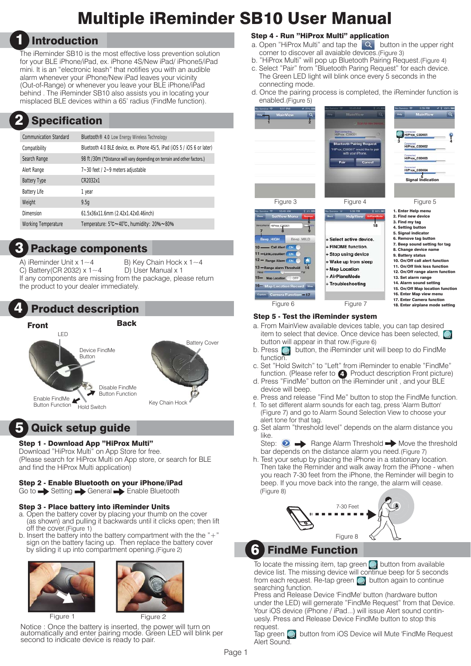# Multiple iReminder SB10 User Manual

# 1 Introduction

The iReminder SB10 is the most effective loss prevention solution for your BLE iPhone/iPad, ex. iPhone 4S/New iPad/ iPhone5/iPad mini. It is an "electronic leash" that notifies you with an audible alarm whenever your iPhone/New iPad leaves your vicinity (Out-of-Range) or whenever you leave your BLE iPhone/iPad behind . The iReminder SB10 also assists you in locating your misplaced BLE devices within a 65' radius (FindMe function).

#### Specification 2

| <b>Communication Standard</b> | Bluetooth <sup>®</sup> 4.0 Low Energy Wireless Technology                |
|-------------------------------|--------------------------------------------------------------------------|
| Compatibility                 | Bluetooth 4.0 BLE device, ex. iPhone 4S/5, iPad (iOS 5 / iOS 6 or later) |
| Search Range                  | 98 ft /30m (*Distance will vary depending on terrain and other factors.) |
| Alert Range                   | 7~30 feet / 2~9 meters adjustable                                        |
| <b>Battery Type</b>           | CR2032x1                                                                 |
| <b>Battery Life</b>           | 1 year                                                                   |
| Weight                        | 9.5q                                                                     |
| Dimension                     | 61.5x36x11.6mm (2.42x1.42x0.46inch)                                      |
| <b>Working Temperature</b>    | Temperature: 5°C~40°C, humidity: 20%~80%                                 |

## **Package components**

A) iReminder Unit x  $1 \sim 4$  B) Key Chain Hock x  $1 \sim 4$ C) Battery(CR 2032)  $x 1~1~$  D) User Manual x 1 If any components are missing from the package, please return the product to your dealer immediately.

#### **Product description** 4



Front Back



# 5 Quick setup guide

### Step 1 - Download App "HiProx Multi"

Download "HiProx Multi" on App Store for free. (Please search for HiProx Multi on App store, or search for BLE and find the HiProx Multi application)

## Step 2 - Enable Bluetooth on your iPhone/iPad

 $Go$  to  $\longrightarrow$  Setting  $\longrightarrow$  General  $\longrightarrow$  Enable Bluetooth

### Step 3 - Place battery into iReminder Units

- a. Open the battery cover by placing your thumb on the cover (as shown) and pulling it backwards until it clicks open; then lift off the cover.(Figure 1)
- b. Insert the battery into the battery compartment with the the " $+$ " sign on the battery facing up. Then replace the battery cover by sliding it up into compartment opening.(Figure 2)





Figure 1 Figure 2

Notice : Once the battery is inserted, the power will turn on automatically and enter pairing mode. Green LED will blink per second to indicate device is ready to pair.

## Step 4 - Run "HiProx Multi" application

- a. Open "HiProx Multi" and tap the  $\overline{Q}$  button in the upper right corner to discover all avaiable devices.(Figure 3)
- b. "HiProx Multi" will pop up Bluetooth Pairing Request.(Figure 4)
- c. Select "Pair" from "Bluetooth Paring Request" for each device. The Green LED light will blink once every 5 seconds in the connecting mode.
- d. Once the pairing process is completed, the iReminder function is enabled.(Figure 5)



## Step 5 - Test the iReminder system

- a. From MainView available devices table, you can tap desired item to select that device. Once device has been selected, button will appear in that row.(Figure 6)
- b. Press **b** button, the iReminder unit will beep to do FindMe function.
- c. Set "Hold Switch" to "Left" from iReminder to enable "FindMe" function. (Please refer to 4) Product description Front picture)
- d. Press "FindMe" button on the iReminder unit , and your BLE device will beep.
- e. Press and release "Find Me" button to stop the FindMe function.
- f. To set different alarm sounds for each tag, press 'Alarm Button' (Figure 7) and go to Alarm Sound Selection View to choose your alert tone for that tag.
- g. Set alarm "threshold level" depends on the alarm distance you like.

Step:  $\bullet$   $\bullet$  Range Alarm Threshold  $\bullet$  Move the threshold bar depends on the distance alarm you need.(Figure 7)

h. Test your setup by placing the iPhone in a stationary location. Then take the Reminder and walk away from the iPhone - when you reach 7-30 feet from the iPhone, the Reminder will begin to beep. If you move back into the range, the alarm will cease. (Figure 8)



6 FindMe Function

To locate the missing item, tap green  $\bigcirc$  button from available device list. The missing device will continue beep for 5 seconds from each request. Re-tap green  $\bigcirc$  button again to continue searching function.

Press and Release Device 'FindMe' button (hardware button under the LED) will gernerate "FindMe Request" from that Device. Your iOS device (iPhone / iPad...) will issue Alert sound continuesly. Press and Release Device FindMe button to stop this request.

Tap green **button from iOS Device will Mute 'FindMe Request** Alert Sound.